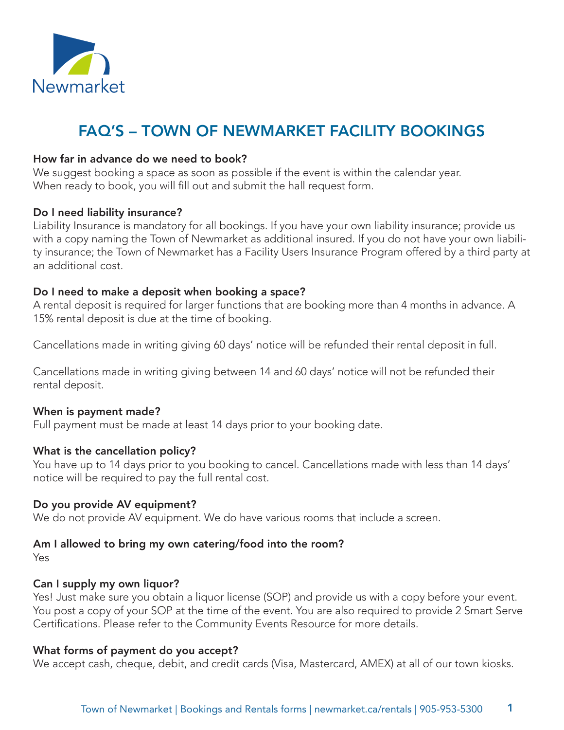

# FAQ'S – TOWN OF NEWMARKET FACILITY BOOKINGS

## How far in advance do we need to book?

We suggest booking a space as soon as possible if the event is within the calendar year. When ready to book, you will fill out and submit the hall request form.

### Do I need liability insurance?

Liability Insurance is mandatory for all bookings. If you have your own liability insurance; provide us with a copy naming the Town of Newmarket as additional insured. If you do not have your own liability insurance; the Town of Newmarket has a Facility Users Insurance Program offered by a third party at an additional cost.

## Do I need to make a deposit when booking a space?

A rental deposit is required for larger functions that are booking more than 4 months in advance. A 15% rental deposit is due at the time of booking.

Cancellations made in writing giving 60 days' notice will be refunded their rental deposit in full.

Cancellations made in writing giving between 14 and 60 days' notice will not be refunded their rental deposit.

### When is payment made?

Full payment must be made at least 14 days prior to your booking date.

### What is the cancellation policy?

You have up to 14 days prior to you booking to cancel. Cancellations made with less than 14 days' notice will be required to pay the full rental cost.

# Do you provide AV equipment?

We do not provide AV equipment. We do have various rooms that include a screen.

# Am I allowed to bring my own catering/food into the room?

Yes

# Can I supply my own liquor?

Yes! Just make sure you obtain a liquor license (SOP) and provide us with a copy before your event. You post a copy of your SOP at the time of the event. You are also required to provide 2 Smart Serve Certifications. Please refer to the Community Events Resource for more details.

# What forms of payment do you accept?

We accept cash, cheque, debit, and credit cards (Visa, Mastercard, AMEX) at all of our town kiosks.